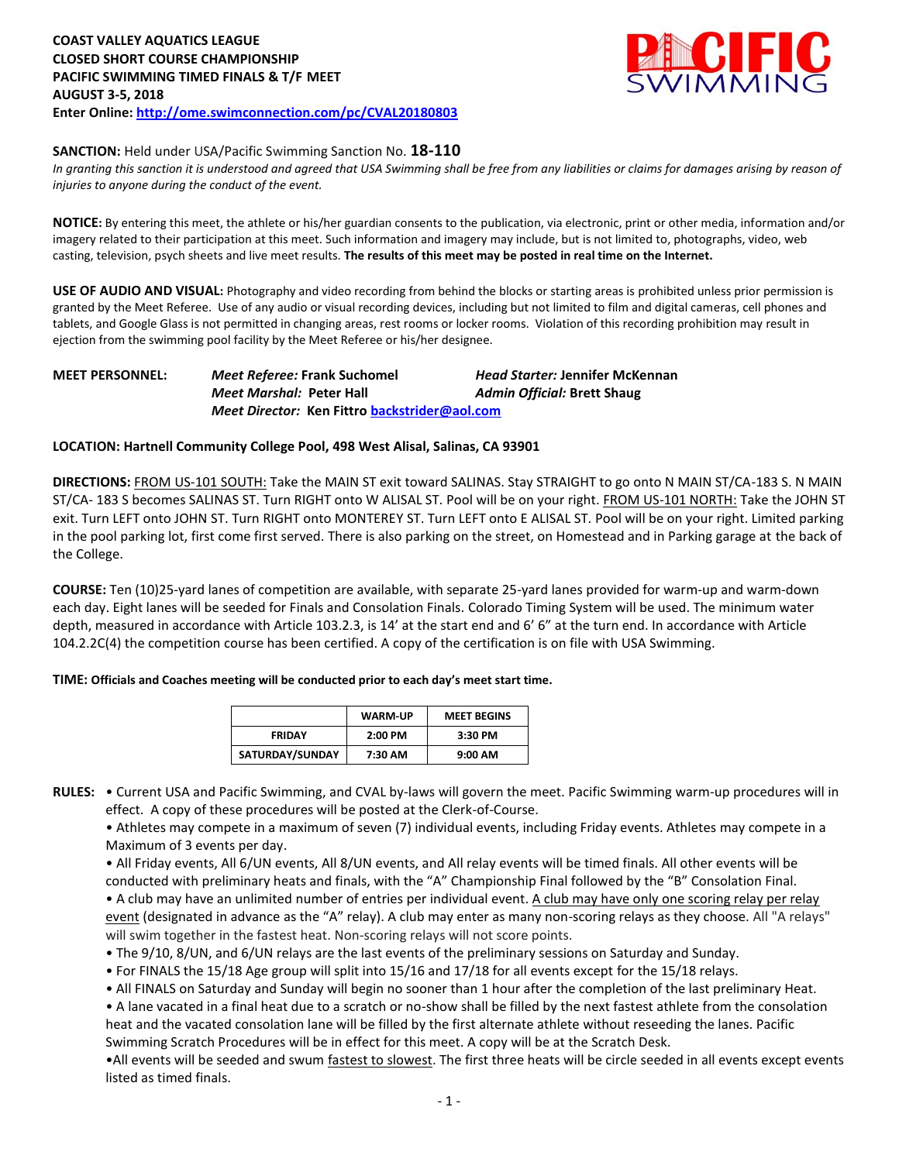

#### **SANCTION:** Held under USA/Pacific Swimming Sanction No. **18-110**

In granting this sanction it is understood and agreed that USA Swimming shall be free from any liabilities or claims for damages arising by reason of *injuries to anyone during the conduct of the event.* 

**NOTICE:** By entering this meet, the athlete or his/her guardian consents to the publication, via electronic, print or other media, information and/or imagery related to their participation at this meet. Such information and imagery may include, but is not limited to, photographs, video, web casting, television, psych sheets and live meet results. **The results of this meet may be posted in real time on the Internet.**

**USE OF AUDIO AND VISUAL:** Photography and video recording from behind the blocks or starting areas is prohibited unless prior permission is granted by the Meet Referee. Use of any audio or visual recording devices, including but not limited to film and digital cameras, cell phones and tablets, and Google Glass is not permitted in changing areas, rest rooms or locker rooms. Violation of this recording prohibition may result in ejection from the swimming pool facility by the Meet Referee or his/her designee.

## **MEET PERSONNEL:** *Meet Referee:* **Frank Suchomel** *Head Starter:* **Jennifer McKennan** *Meet Marshal:* **Peter Hall** *Admin Official:* **Brett Shaug** *Meet Director:* **Ken Fittr[o backstrider@aol.com](mailto:backstrider@aol.com)**

#### **LOCATION: Hartnell Community College Pool, 498 West Alisal, Salinas, CA 93901**

**DIRECTIONS:** FROM US-101 SOUTH: Take the MAIN ST exit toward SALINAS. Stay STRAIGHT to go onto N MAIN ST/CA-183 S. N MAIN ST/CA- 183 S becomes SALINAS ST. Turn RIGHT onto W ALISAL ST. Pool will be on your right. FROM US-101 NORTH: Take the JOHN ST exit. Turn LEFT onto JOHN ST. Turn RIGHT onto MONTEREY ST. Turn LEFT onto E ALISAL ST. Pool will be on your right. Limited parking in the pool parking lot, first come first served. There is also parking on the street, on Homestead and in Parking garage at the back of the College.

**COURSE:** Ten (10)25-yard lanes of competition are available, with separate 25-yard lanes provided for warm-up and warm-down each day. Eight lanes will be seeded for Finals and Consolation Finals. Colorado Timing System will be used. The minimum water depth, measured in accordance with Article 103.2.3, is 14' at the start end and 6' 6" at the turn end. In accordance with Article 104.2.2C(4) the competition course has been certified. A copy of the certification is on file with USA Swimming.

#### **TIME: Officials and Coaches meeting will be conducted prior to each day's meet start time.**

|                 | <b>WARM-UP</b> | <b>MEET BEGINS</b> |
|-----------------|----------------|--------------------|
| <b>FRIDAY</b>   | $2:00$ PM      | 3:30 PM            |
| SATURDAY/SUNDAY | 7:30 AM        | 9:00 AM            |

**RULES:** • Current USA and Pacific Swimming, and CVAL by-laws will govern the meet. Pacific Swimming warm-up procedures will in effect. A copy of these procedures will be posted at the Clerk-of-Course.

• Athletes may compete in a maximum of seven (7) individual events, including Friday events. Athletes may compete in a Maximum of 3 events per day.

• All Friday events, All 6/UN events, All 8/UN events, and All relay events will be timed finals. All other events will be conducted with preliminary heats and finals, with the "A" Championship Final followed by the "B" Consolation Final. • A club may have an unlimited number of entries per individual event. A club may have only one scoring relay per relay event (designated in advance as the "A" relay). A club may enter as many non-scoring relays as they choose. All "A relays" will swim together in the fastest heat. Non-scoring relays will not score points.

• The 9/10, 8/UN, and 6/UN relays are the last events of the preliminary sessions on Saturday and Sunday.

• For FINALS the 15/18 Age group will split into 15/16 and 17/18 for all events except for the 15/18 relays.

• All FINALS on Saturday and Sunday will begin no sooner than 1 hour after the completion of the last preliminary Heat.

• A lane vacated in a final heat due to a scratch or no-show shall be filled by the next fastest athlete from the consolation heat and the vacated consolation lane will be filled by the first alternate athlete without reseeding the lanes. Pacific Swimming Scratch Procedures will be in effect for this meet. A copy will be at the Scratch Desk.

•All events will be seeded and swum fastest to slowest. The first three heats will be circle seeded in all events except events listed as timed finals.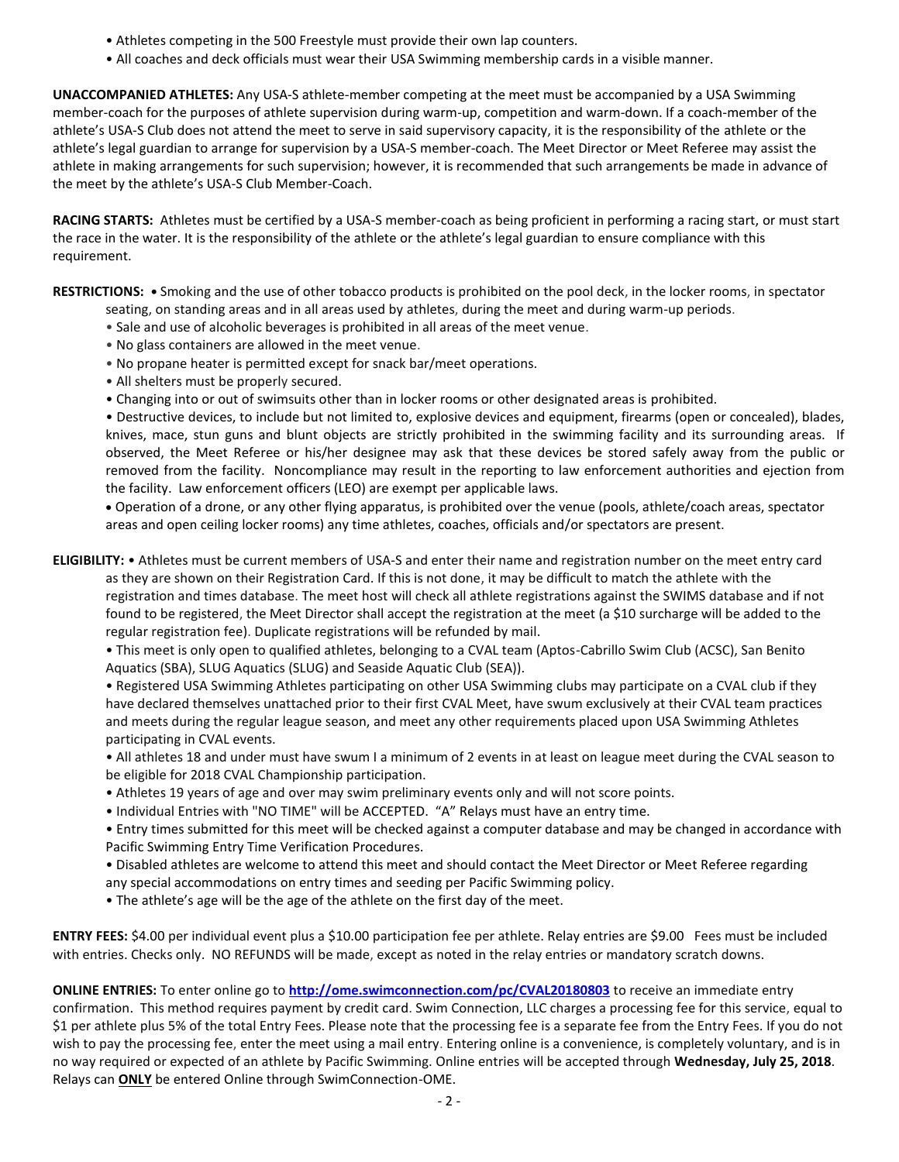- Athletes competing in the 500 Freestyle must provide their own lap counters.
- All coaches and deck officials must wear their USA Swimming membership cards in a visible manner.

**UNACCOMPANIED ATHLETES:** Any USA-S athlete-member competing at the meet must be accompanied by a USA Swimming member-coach for the purposes of athlete supervision during warm-up, competition and warm-down. If a coach-member of the athlete's USA-S Club does not attend the meet to serve in said supervisory capacity, it is the responsibility of the athlete or the athlete's legal guardian to arrange for supervision by a USA-S member-coach. The Meet Director or Meet Referee may assist the athlete in making arrangements for such supervision; however, it is recommended that such arrangements be made in advance of the meet by the athlete's USA-S Club Member-Coach.

**RACING STARTS:** Athletes must be certified by a USA-S member-coach as being proficient in performing a racing start, or must start the race in the water. It is the responsibility of the athlete or the athlete's legal guardian to ensure compliance with this requirement.

**RESTRICTIONS: •** Smoking and the use of other tobacco products is prohibited on the pool deck, in the locker rooms, in spectator

- seating, on standing areas and in all areas used by athletes, during the meet and during warm-up periods.
- Sale and use of alcoholic beverages is prohibited in all areas of the meet venue.
- No glass containers are allowed in the meet venue.
- No propane heater is permitted except for snack bar/meet operations.
- All shelters must be properly secured.
- Changing into or out of swimsuits other than in locker rooms or other designated areas is prohibited.

• Destructive devices, to include but not limited to, explosive devices and equipment, firearms (open or concealed), blades, knives, mace, stun guns and blunt objects are strictly prohibited in the swimming facility and its surrounding areas. If observed, the Meet Referee or his/her designee may ask that these devices be stored safely away from the public or removed from the facility. Noncompliance may result in the reporting to law enforcement authorities and ejection from the facility. Law enforcement officers (LEO) are exempt per applicable laws.

 Operation of a drone, or any other flying apparatus, is prohibited over the venue (pools, athlete/coach areas, spectator areas and open ceiling locker rooms) any time athletes, coaches, officials and/or spectators are present.

**ELIGIBILITY:** • Athletes must be current members of USA-S and enter their name and registration number on the meet entry card as they are shown on their Registration Card. If this is not done, it may be difficult to match the athlete with the registration and times database. The meet host will check all athlete registrations against the SWIMS database and if not found to be registered, the Meet Director shall accept the registration at the meet (a \$10 surcharge will be added to the regular registration fee). Duplicate registrations will be refunded by mail.

• This meet is only open to qualified athletes, belonging to a CVAL team (Aptos-Cabrillo Swim Club (ACSC), San Benito Aquatics (SBA), SLUG Aquatics (SLUG) and Seaside Aquatic Club (SEA)).

• Registered USA Swimming Athletes participating on other USA Swimming clubs may participate on a CVAL club if they have declared themselves unattached prior to their first CVAL Meet, have swum exclusively at their CVAL team practices and meets during the regular league season, and meet any other requirements placed upon USA Swimming Athletes participating in CVAL events.

• All athletes 18 and under must have swum I a minimum of 2 events in at least on league meet during the CVAL season to be eligible for 2018 CVAL Championship participation.

- Athletes 19 years of age and over may swim preliminary events only and will not score points.
- Individual Entries with "NO TIME" will be ACCEPTED. "A" Relays must have an entry time.

• Entry times submitted for this meet will be checked against a computer database and may be changed in accordance with Pacific Swimming Entry Time Verification Procedures.

• Disabled athletes are welcome to attend this meet and should contact the Meet Director or Meet Referee regarding any special accommodations on entry times and seeding per Pacific Swimming policy.

• The athlete's age will be the age of the athlete on the first day of the meet.

**ENTRY FEES:** \$4.00 per individual event plus a \$10.00 participation fee per athlete. Relay entries are \$9.00 Fees must be included with entries. Checks only. NO REFUNDS will be made, except as noted in the relay entries or mandatory scratch downs.

**ONLINE ENTRIES:** To enter online go to **<http://ome.swimconnection.com/pc/CVAL20180803>** to receive an immediate entry confirmation. This method requires payment by credit card. Swim Connection, LLC charges a processing fee for this service, equal to \$1 per athlete plus 5% of the total Entry Fees. Please note that the processing fee is a separate fee from the Entry Fees. If you do not wish to pay the processing fee, enter the meet using a mail entry. Entering online is a convenience, is completely voluntary, and is in no way required or expected of an athlete by Pacific Swimming. Online entries will be accepted through **Wednesday, July 25, 2018**. Relays can **ONLY** be entered Online through SwimConnection-OME.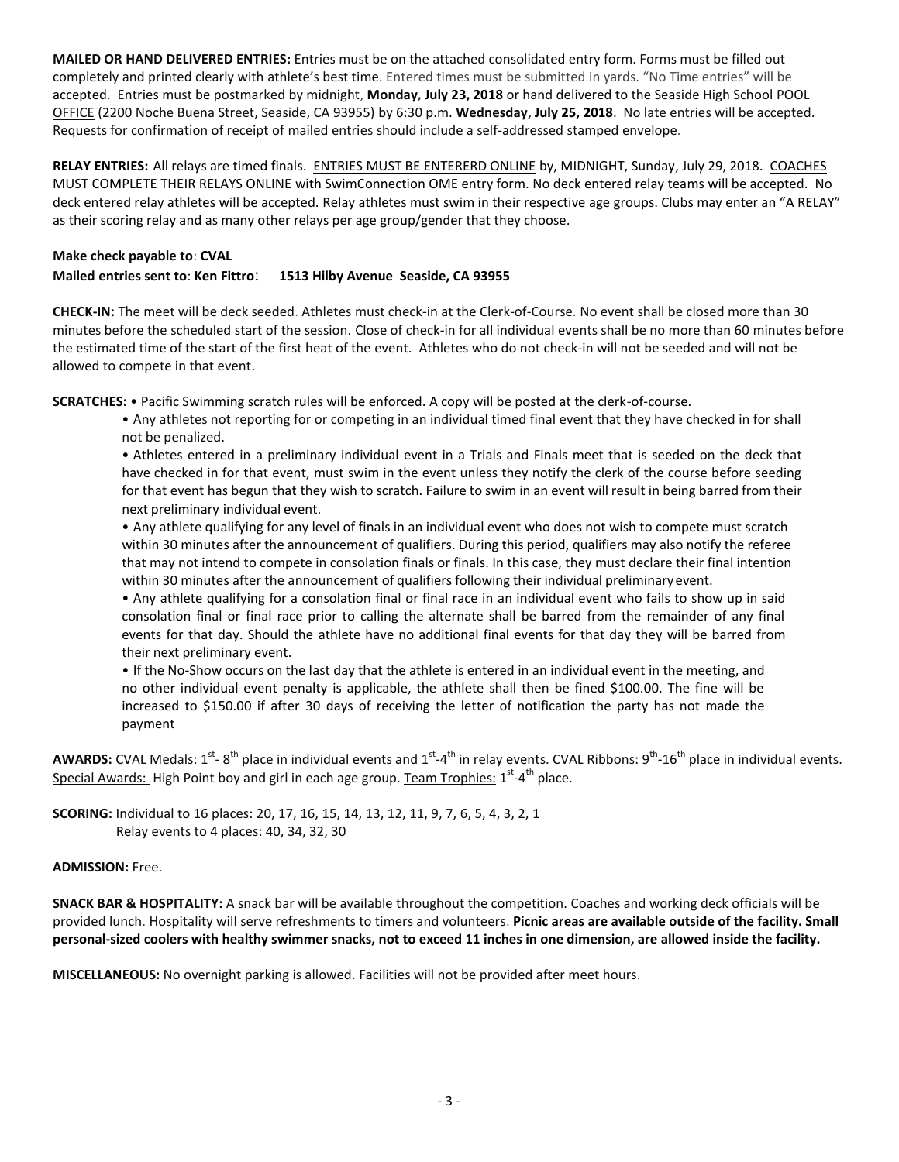**MAILED OR HAND DELIVERED ENTRIES:** Entries must be on the attached consolidated entry form. Forms must be filled out completely and printed clearly with athlete's best time. Entered times must be submitted in yards. "No Time entries" will be accepted. Entries must be postmarked by midnight, **Monday, July 23, 2018** or hand delivered to the Seaside High School POOL OFFICE (2200 Noche Buena Street, Seaside, CA 93955) by 6:30 p.m. **Wednesday, July 25, 2018**. No late entries will be accepted. Requests for confirmation of receipt of mailed entries should include a self-addressed stamped envelope.

**RELAY ENTRIES:** All relays are timed finals. ENTRIES MUST BE ENTERERD ONLINE by, MIDNIGHT, Sunday, July 29, 2018. COACHES MUST COMPLETE THEIR RELAYS ONLINE with SwimConnection OME entry form. No deck entered relay teams will be accepted. No deck entered relay athletes will be accepted. Relay athletes must swim in their respective age groups. Clubs may enter an "A RELAY" as their scoring relay and as many other relays per age group/gender that they choose.

### **Make check payable to**: **CVAL**

#### **Mailed entries sent to**: **Ken Fittro**: **1513 Hilby Avenue Seaside, CA 93955**

**CHECK-IN:** The meet will be deck seeded. Athletes must check-in at the Clerk-of-Course. No event shall be closed more than 30 minutes before the scheduled start of the session. Close of check-in for all individual events shall be no more than 60 minutes before the estimated time of the start of the first heat of the event. Athletes who do not check-in will not be seeded and will not be allowed to compete in that event.

**SCRATCHES:** • Pacific Swimming scratch rules will be enforced. A copy will be posted at the clerk-of-course.

• Any athletes not reporting for or competing in an individual timed final event that they have checked in for shall not be penalized.

• Athletes entered in a preliminary individual event in a Trials and Finals meet that is seeded on the deck that have checked in for that event, must swim in the event unless they notify the clerk of the course before seeding for that event has begun that they wish to scratch. Failure to swim in an event will result in being barred from their next preliminary individual event.

• Any athlete qualifying for any level of finals in an individual event who does not wish to compete must scratch within 30 minutes after the announcement of qualifiers. During this period, qualifiers may also notify the referee that may not intend to compete in consolation finals or finals. In this case, they must declare their final intention within 30 minutes after the announcement of qualifiers following their individual preliminaryevent.

• Any athlete qualifying for a consolation final or final race in an individual event who fails to show up in said consolation final or final race prior to calling the alternate shall be barred from the remainder of any final events for that day. Should the athlete have no additional final events for that day they will be barred from their next preliminary event.

• If the No-Show occurs on the last day that the athlete is entered in an individual event in the meeting, and no other individual event penalty is applicable, the athlete shall then be fined \$100.00. The fine will be increased to \$150.00 if after 30 days of receiving the letter of notification the party has not made the payment

AWARDS: CVAL Medals: 1<sup>st</sup>-8<sup>th</sup> place in individual events and 1<sup>st</sup>-4<sup>th</sup> in relay events. CVAL Ribbons: 9<sup>th</sup>-16<sup>th</sup> place in individual events. Special Awards: High Point boy and girl in each age group. Team Trophies: 1<sup>st</sup>-4<sup>th</sup> place.

**SCORING:** Individual to 16 places: 20, 17, 16, 15, 14, 13, 12, 11, 9, 7, 6, 5, 4, 3, 2, 1 Relay events to 4 places: 40, 34, 32, 30

## **ADMISSION:** Free.

**SNACK BAR & HOSPITALITY:** A snack bar will be available throughout the competition. Coaches and working deck officials will be provided lunch. Hospitality will serve refreshments to timers and volunteers. **Picnic areas are available outside of the facility. Small personal-sized coolers with healthy swimmer snacks, not to exceed 11 inches in one dimension, are allowed inside the facility.** 

**MISCELLANEOUS:** No overnight parking is allowed. Facilities will not be provided after meet hours.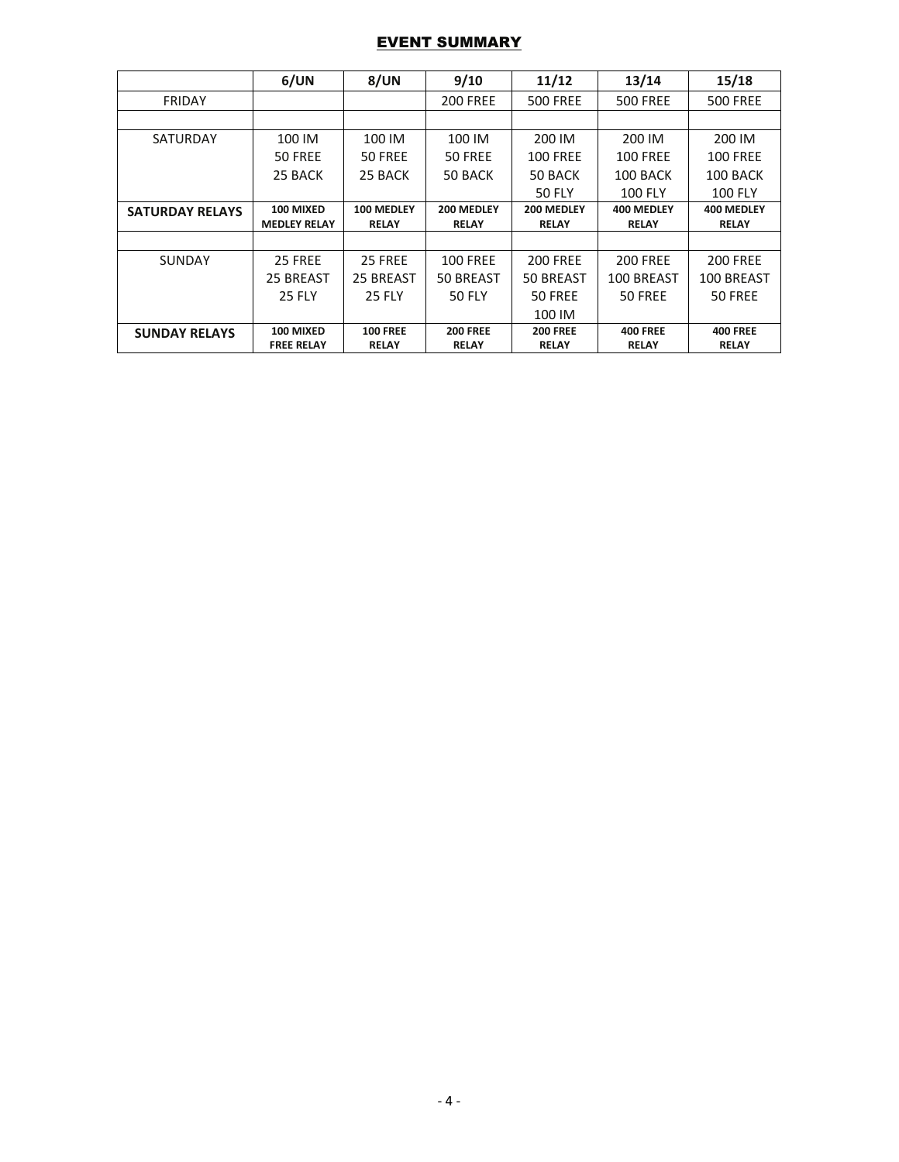## EVENT SUMMARY

|                        | 6/UN                | 8/UN            | 9/10            | 11/12           | 13/14           | 15/18           |
|------------------------|---------------------|-----------------|-----------------|-----------------|-----------------|-----------------|
| <b>FRIDAY</b>          |                     |                 | <b>200 FREE</b> | <b>500 FREE</b> | <b>500 FREE</b> | <b>500 FREE</b> |
|                        |                     |                 |                 |                 |                 |                 |
| <b>SATURDAY</b>        | 100 IM              | 100 IM          | 100 IM          | 200 IM          | 200 IM          | 200 IM          |
|                        | 50 FREE             | 50 FREE         | 50 FREE         | <b>100 FREE</b> | <b>100 FREE</b> | <b>100 FREE</b> |
|                        | 25 BACK             | 25 BACK         | 50 BACK         | 50 BACK         | 100 BACK        | 100 BACK        |
|                        |                     |                 |                 | <b>50 FLY</b>   | <b>100 FLY</b>  | <b>100 FLY</b>  |
| <b>SATURDAY RELAYS</b> | 100 MIXED           | 100 MEDLEY      | 200 MEDLEY      | 200 MEDLEY      | 400 MEDLEY      | 400 MEDLEY      |
|                        | <b>MEDLEY RELAY</b> | <b>RELAY</b>    | <b>RELAY</b>    | <b>RELAY</b>    | <b>RELAY</b>    | <b>RELAY</b>    |
|                        |                     |                 |                 |                 |                 |                 |
| <b>SUNDAY</b>          | 25 FREE             | 25 FREE         | <b>100 FREE</b> | <b>200 FREE</b> | <b>200 FREE</b> | <b>200 FREE</b> |
|                        | 25 BREAST           | 25 BREAST       | 50 BREAST       | 50 BREAST       | 100 BREAST      | 100 BREAST      |
|                        | <b>25 FLY</b>       | <b>25 FLY</b>   | <b>50 FLY</b>   | 50 FREE         | 50 FREE         | 50 FREE         |
|                        |                     |                 |                 | 100 IM          |                 |                 |
| <b>SUNDAY RELAYS</b>   | 100 MIXED           | <b>100 FREE</b> | <b>200 FREE</b> | <b>200 FREE</b> | <b>400 FREE</b> | <b>400 FREE</b> |
|                        | <b>FREE RELAY</b>   | <b>RELAY</b>    | <b>RELAY</b>    | <b>RELAY</b>    | <b>RELAY</b>    | <b>RELAY</b>    |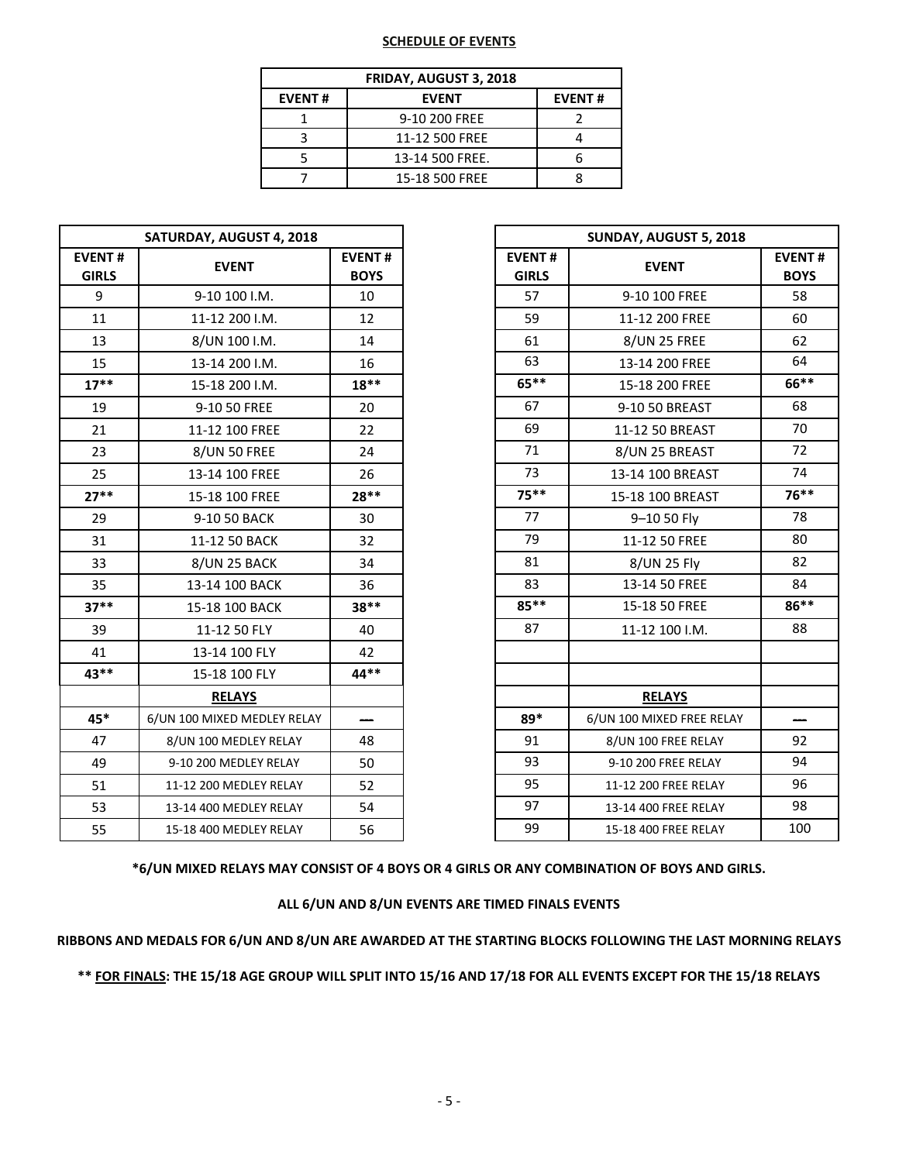## **SCHEDULE OF EVENTS**

| <b>FRIDAY, AUGUST 3, 2018</b> |                 |  |  |  |  |  |  |
|-------------------------------|-----------------|--|--|--|--|--|--|
| <b>EVENT#</b>                 | <b>EVENT#</b>   |  |  |  |  |  |  |
|                               | 9-10 200 FREE   |  |  |  |  |  |  |
|                               | 11-12 500 FREE  |  |  |  |  |  |  |
|                               | 13-14 500 FREE. |  |  |  |  |  |  |
|                               | 15-18 500 FREE  |  |  |  |  |  |  |

|                               | SATURDAY, AUGUST 4, 2018    |                              |                               | SUNDAY, AUGUST 5, 2018    |                          |  |  |  |
|-------------------------------|-----------------------------|------------------------------|-------------------------------|---------------------------|--------------------------|--|--|--|
| <b>EVENT#</b><br><b>GIRLS</b> | <b>EVENT</b>                | <b>EVENT#</b><br><b>BOYS</b> | <b>EVENT#</b><br><b>GIRLS</b> | <b>EVENT</b>              | <b>EVEN</b><br><b>BO</b> |  |  |  |
| 9                             | 9-10 100 I.M.               | 10                           | 57                            | 9-10 100 FREE             | 58                       |  |  |  |
| 11                            | 11-12 200 I.M.              | 12                           | 59                            | 11-12 200 FREE            | 60                       |  |  |  |
| 13                            | 8/UN 100 I.M.               | 14                           | 61                            | 8/UN 25 FREE              | 62                       |  |  |  |
| 15                            | 13-14 200 I.M.              | 16                           | 63                            | 13-14 200 FREE            | 64                       |  |  |  |
| $17***$                       | 15-18 200 I.M.              | $18**$                       | 65**                          | 15-18 200 FREE            | 66*                      |  |  |  |
| 19                            | 9-10 50 FREE                | 20                           | 67                            | 9-10 50 BREAST            | 68                       |  |  |  |
| 21                            | 11-12 100 FREE              | 22                           | 69                            | 11-12 50 BREAST           | 70                       |  |  |  |
| 23                            | <b>8/UN 50 FREE</b>         | 24                           | 71                            | 8/UN 25 BREAST            | 72                       |  |  |  |
| 25                            | 13-14 100 FREE              | 26                           | 73                            | 13-14 100 BREAST          | 74                       |  |  |  |
| $27**$                        | 15-18 100 FREE              | 28**                         | $75***$                       | 15-18 100 BREAST          | $76*$                    |  |  |  |
| 29                            | 9-10 50 BACK                | 30                           | 77                            | 9-10 50 Fly               | 78                       |  |  |  |
| 31                            | 11-12 50 BACK               | 32                           | 79                            | 11-12 50 FREE             | 80                       |  |  |  |
| 33                            | 8/UN 25 BACK                | 34                           | 81                            | 8/UN 25 Fly               | 82                       |  |  |  |
| 35                            | 13-14 100 BACK              | 36                           | 83                            | 13-14 50 FREE             | 84                       |  |  |  |
| $37**$                        | 15-18 100 BACK              | $38**$                       | 85**                          | 15-18 50 FREE             | $86*$                    |  |  |  |
| 39                            | 11-12 50 FLY                | 40                           | 87                            | 11-12 100 I.M.            | 88                       |  |  |  |
| 41                            | 13-14 100 FLY               | 42                           |                               |                           |                          |  |  |  |
| $43**$                        | 15-18 100 FLY               | $44**$                       |                               |                           |                          |  |  |  |
|                               | <b>RELAYS</b>               |                              |                               | <b>RELAYS</b>             |                          |  |  |  |
| 45*                           | 6/UN 100 MIXED MEDLEY RELAY |                              | 89*                           | 6/UN 100 MIXED FREE RELAY |                          |  |  |  |
| 47                            | 8/UN 100 MEDLEY RELAY       | 48                           | 91                            | 8/UN 100 FREE RELAY       | 92                       |  |  |  |
| 49                            | 9-10 200 MEDLEY RELAY       | 50                           | 93                            | 9-10 200 FREE RELAY       | 94                       |  |  |  |
| 51                            | 11-12 200 MEDLEY RELAY      | 52                           | 95                            | 11-12 200 FREE RELAY      | 96                       |  |  |  |
| 53                            | 13-14 400 MEDLEY RELAY      | 54                           | 97                            | 13-14 400 FREE RELAY      | 98                       |  |  |  |
| 55                            | 15-18 400 MEDLEY RELAY      | 56                           | 99                            | 15-18 400 FREE RELAY      | 10                       |  |  |  |
|                               |                             |                              |                               |                           |                          |  |  |  |

|                              | SATURDAY, AUGUST 4, 2018    |                              | SUNDAY, AUGUST 5, 2018        |                           |                              |  |  |
|------------------------------|-----------------------------|------------------------------|-------------------------------|---------------------------|------------------------------|--|--|
| <b>/ENT#</b><br><b>GIRLS</b> | <b>EVENT</b>                | <b>EVENT#</b><br><b>BOYS</b> | <b>EVENT#</b><br><b>GIRLS</b> | <b>EVENT</b>              | <b>EVENT#</b><br><b>BOYS</b> |  |  |
| 9                            | 9-10 100 I.M.               | 10                           | 57                            | 9-10 100 FREE             | 58                           |  |  |
| 11                           | 11-12 200 I.M.              | 12                           | 59                            | 11-12 200 FREE            | 60                           |  |  |
| 13                           | 8/UN 100 I.M.               | 14                           | 61                            | <b>8/UN 25 FREE</b>       | 62                           |  |  |
| 15                           | 13-14 200 I.M.              | 16                           | 63                            | 13-14 200 FREE            | 64                           |  |  |
| $17***$                      | 15-18 200 I.M.              | $18**$                       | $65***$                       | 15-18 200 FREE            | 66**                         |  |  |
| 19                           | 9-10 50 FREE                | 20                           | 67                            | 9-10 50 BREAST            | 68                           |  |  |
| 21                           | 11-12 100 FREE              | 22                           | 69                            | 11-12 50 BREAST           | 70                           |  |  |
| 23                           | <b>8/UN 50 FREE</b>         | 24                           | 71                            | 8/UN 25 BREAST            | 72                           |  |  |
| 25                           | 13-14 100 FREE              | 26                           | 73                            | 13-14 100 BREAST          | 74                           |  |  |
| $27**$                       | 15-18 100 FREE              | 28**                         | $75***$                       | 15-18 100 BREAST          | 76**                         |  |  |
| 29                           | 9-10 50 BACK                | 30                           | 77                            | 9-10 50 Fly               | 78                           |  |  |
| 31                           | 11-12 50 BACK               | 32                           | 79                            | 11-12 50 FREE             | 80                           |  |  |
| 33                           | 8/UN 25 BACK                | 34                           | 81                            | 8/UN 25 Fly               | 82                           |  |  |
| 35                           | 13-14 100 BACK              | 36                           | 83                            | 13-14 50 FREE             | 84                           |  |  |
| $37**$                       | 15-18 100 BACK              | 38**                         | $85***$                       | 15-18 50 FREE             | 86**                         |  |  |
| 39                           | 11-12 50 FLY                | 40                           | 87                            | 11-12 100 I.M.            | 88                           |  |  |
| 41                           | 13-14 100 FLY               | 42                           |                               |                           |                              |  |  |
| 43**                         | 15-18 100 FLY               | 44**                         |                               |                           |                              |  |  |
|                              | <b>RELAYS</b>               |                              |                               | <b>RELAYS</b>             |                              |  |  |
| 45*                          | 6/UN 100 MIXED MEDLEY RELAY |                              | 89*                           | 6/UN 100 MIXED FREE RELAY |                              |  |  |
| 47                           | 8/UN 100 MEDLEY RELAY       | 48                           | 91                            | 8/UN 100 FREE RELAY       | 92                           |  |  |
| 49                           | 9-10 200 MEDLEY RELAY       | 50                           | 93                            | 9-10 200 FREE RELAY       | 94                           |  |  |
| 51                           | 11-12 200 MEDLEY RELAY      | 52                           | 95                            | 11-12 200 FREE RELAY      | 96                           |  |  |
| 53                           | 13-14 400 MEDLEY RELAY      | 54                           | 97                            | 13-14 400 FREE RELAY      | 98                           |  |  |
| 55                           | 15-18 400 MEDLEY RELAY      | 56                           | 99                            | 15-18 400 FREE RELAY      | 100                          |  |  |

**\*6/UN MIXED RELAYS MAY CONSIST OF 4 BOYS OR 4 GIRLS OR ANY COMBINATION OF BOYS AND GIRLS.**

**ALL 6/UN AND 8/UN EVENTS ARE TIMED FINALS EVENTS**

**RIBBONS AND MEDALS FOR 6/UN AND 8/UN ARE AWARDED AT THE STARTING BLOCKS FOLLOWING THE LAST MORNING RELAYS**

**\*\* FOR FINALS: THE 15/18 AGE GROUP WILL SPLIT INTO 15/16 AND 17/18 FOR ALL EVENTS EXCEPT FOR THE 15/18 RELAYS**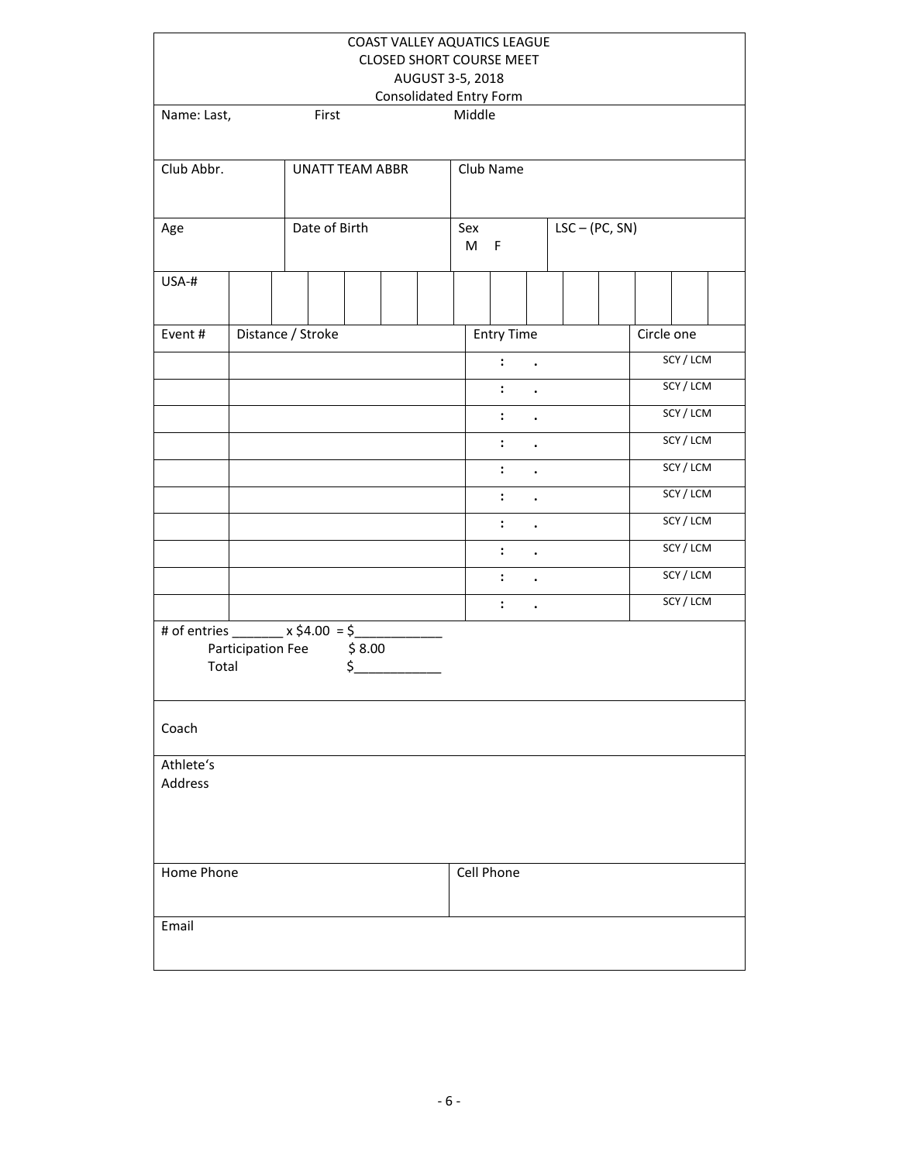|                                                         |                                             |  |                        |        | COAST VALLEY AQUATICS LEAGUE<br><b>CLOSED SHORT COURSE MEET</b> |          |                           |                      |                  |  |            |           |  |
|---------------------------------------------------------|---------------------------------------------|--|------------------------|--------|-----------------------------------------------------------------|----------|---------------------------|----------------------|------------------|--|------------|-----------|--|
|                                                         | AUGUST 3-5, 2018<br>Consolidated Entry Form |  |                        |        |                                                                 |          |                           |                      |                  |  |            |           |  |
| Name: Last,                                             |                                             |  | First                  |        |                                                                 | Middle   |                           |                      |                  |  |            |           |  |
| Club Abbr.                                              |                                             |  | <b>UNATT TEAM ABBR</b> |        |                                                                 |          | Club Name                 |                      |                  |  |            |           |  |
| Age                                                     |                                             |  | Date of Birth          |        |                                                                 | Sex<br>M | $\mathsf F$               |                      | $LSC - (PC, SN)$ |  |            |           |  |
| USA-#                                                   |                                             |  |                        |        |                                                                 |          |                           |                      |                  |  |            |           |  |
| Event#                                                  | Distance / Stroke                           |  |                        |        |                                                                 |          | <b>Entry Time</b>         |                      |                  |  | Circle one |           |  |
|                                                         |                                             |  |                        |        |                                                                 |          | $\mathbf{1}$ $\mathbf{1}$ |                      |                  |  |            | SCY / LCM |  |
|                                                         |                                             |  |                        |        |                                                                 |          | $\ddot{\phantom{a}}$      | $\bullet$            |                  |  |            | SCY / LCM |  |
|                                                         |                                             |  |                        |        |                                                                 |          | $\ddot{\phantom{a}}$      | $\bullet$            |                  |  |            | SCY / LCM |  |
|                                                         |                                             |  |                        |        |                                                                 |          | $\ddot{\cdot}$            | $\bullet$            |                  |  |            | SCY / LCM |  |
|                                                         |                                             |  |                        |        |                                                                 |          | $\ddot{\cdot}$            | $\ddot{\phantom{a}}$ |                  |  |            | SCY / LCM |  |
|                                                         |                                             |  |                        |        |                                                                 |          | $\ddot{\cdot}$            | $\ddot{\phantom{a}}$ |                  |  |            | SCY / LCM |  |
|                                                         |                                             |  |                        |        |                                                                 |          | $\ddot{\cdot}$            | $\ddot{\phantom{0}}$ |                  |  |            | SCY / LCM |  |
|                                                         |                                             |  |                        |        |                                                                 |          | $\ddot{\cdot}$            | $\bullet$            |                  |  |            | SCY / LCM |  |
|                                                         |                                             |  |                        |        |                                                                 |          | $\ddot{\cdot}$            | $\bullet$            |                  |  |            | SCY / LCM |  |
|                                                         |                                             |  |                        |        |                                                                 |          | $\ddot{\cdot}$            | $\ddot{\phantom{a}}$ |                  |  |            | SCY / LCM |  |
| # of entries ________ $x \overline{54.00} = 5$<br>Total | Participation Fee                           |  | \$                     | \$8.00 |                                                                 |          |                           |                      |                  |  |            |           |  |
| Coach                                                   |                                             |  |                        |        |                                                                 |          |                           |                      |                  |  |            |           |  |
| Athlete's<br>Address                                    |                                             |  |                        |        |                                                                 |          |                           |                      |                  |  |            |           |  |
| Home Phone                                              |                                             |  |                        |        |                                                                 |          | Cell Phone                |                      |                  |  |            |           |  |
| Email                                                   |                                             |  |                        |        |                                                                 |          |                           |                      |                  |  |            |           |  |